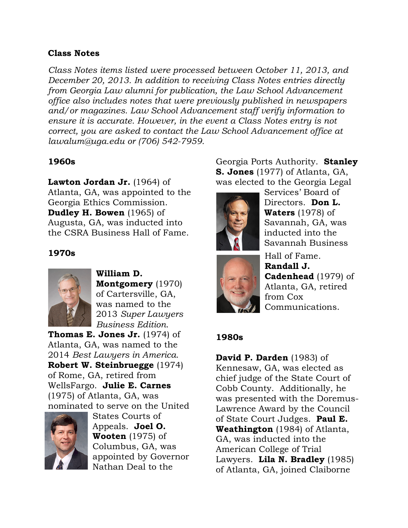### **Class Notes**

*Class Notes items listed were processed between October 11, 2013, and December 20, 2013. In addition to receiving Class Notes entries directly from Georgia Law alumni for publication, the Law School Advancement office also includes notes that were previously published in newspapers and/or magazines. Law School Advancement staff verify information to ensure it is accurate. However, in the event a Class Notes entry is not correct, you are asked to contact the Law School Advancement office at lawalum@uga.edu or (706) 542-7959.*

### **1960s**

**Lawton Jordan Jr.** (1964) of Atlanta, GA, was appointed to the Georgia Ethics Commission. **Dudley H. Bowen** (1965) of Augusta, GA, was inducted into the CSRA Business Hall of Fame.

### **1970s**



**William D. Montgomery** (1970) of Cartersville, GA, was named to the 2013 *Super Lawyers Business Edition*.

**Thomas E. Jones Jr.** (1974) of Atlanta, GA, was named to the 2014 *Best Lawyers in America*. **Robert W. Steinbruegge** (1974) of Rome, GA, retired from WellsFargo. **Julie E. Carnes** (1975) of Atlanta, GA, was nominated to serve on the United



States Courts of Appeals. **Joel O. Wooten** (1975) of Columbus, GA, was appointed by Governor Nathan Deal to the

Georgia Ports Authority. **Stanley S. Jones** (1977) of Atlanta, GA, was elected to the Georgia Legal



Services' Board of Directors. **Don L. Waters** (1978) of Savannah, GA, was inducted into the Savannah Business



Hall of Fame. **Randall J. Cadenhead** (1979) of Atlanta, GA, retired from Cox Communications.

# **1980s**

**David P. Darden** (1983) of Kennesaw, GA, was elected as chief judge of the State Court of Cobb County. Additionally, he was presented with the Doremus-Lawrence Award by the Council of State Court Judges. **Paul E. Weathington** (1984) of Atlanta, GA, was inducted into the American College of Trial Lawyers. **Lila N. Bradley** (1985) of Atlanta, GA, joined Claiborne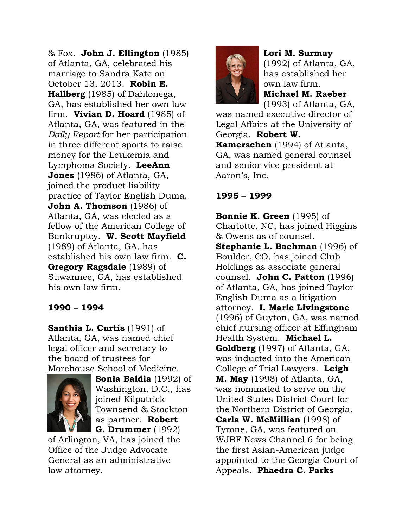& Fox. **John J. Ellington** (1985) of Atlanta, GA, celebrated his marriage to Sandra Kate on October 13, 2013. **Robin E. Hallberg** (1985) of Dahlonega, GA, has established her own law firm. **Vivian D. Hoard** (1985) of Atlanta, GA, was featured in the *Daily Report* for her participation in three different sports to raise money for the Leukemia and Lymphoma Society. **LeeAnn Jones** (1986) of Atlanta, GA, joined the product liability practice of Taylor English Duma. **John A. Thomson** (1986) of Atlanta, GA, was elected as a fellow of the American College of Bankruptcy. **W. Scott Mayfield** (1989) of Atlanta, GA, has established his own law firm. **C. Gregory Ragsdale** (1989) of Suwannee, GA, has established his own law firm.

# **1990 – 1994**

**Santhia L. Curtis** (1991) of Atlanta, GA, was named chief legal officer and secretary to the board of trustees for Morehouse School of Medicine.



**Sonia Baldia** (1992) of Washington, D.C., has joined Kilpatrick Townsend & Stockton as partner. **Robert G. Drummer** (1992)

of Arlington, VA, has joined the Office of the Judge Advocate General as an administrative law attorney.



**Lori M. Surmay** (1992) of Atlanta, GA, has established her own law firm. **Michael M. Raeber** (1993) of Atlanta, GA,

was named executive director of Legal Affairs at the University of Georgia. **Robert W. Kamerschen** (1994) of Atlanta, GA, was named general counsel and senior vice president at Aaron's, Inc.

# **1995 – 1999**

**Bonnie K. Green** (1995) of Charlotte, NC, has joined Higgins & Owens as of counsel. **Stephanie L. Bachman** (1996) of Boulder, CO, has joined Club Holdings as associate general counsel. **John C. Patton** (1996) of Atlanta, GA, has joined Taylor English Duma as a litigation attorney. **I. Marie Livingstone** (1996) of Guyton, GA, was named chief nursing officer at Effingham Health System. **Michael L. Goldberg** (1997) of Atlanta, GA, was inducted into the American College of Trial Lawyers. **Leigh M. May** (1998) of Atlanta, GA, was nominated to serve on the United States District Court for the Northern District of Georgia. **Carla W. McMillian** (1998) of Tyrone, GA, was featured on WJBF News Channel 6 for being the first Asian-American judge appointed to the Georgia Court of Appeals. **Phaedra C. Parks**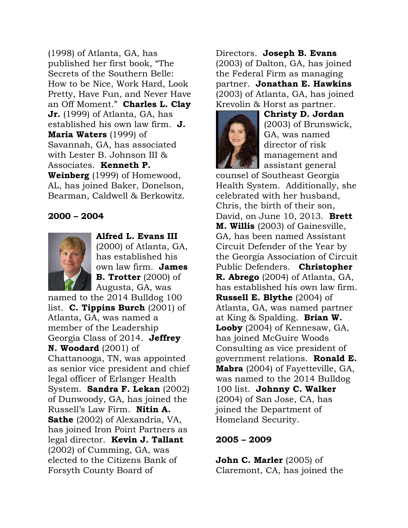(1998) of Atlanta, GA, has published her first book, "The Secrets of the Southern Belle: How to be Nice, Work Hard, Look Pretty, Have Fun, and Never Have an Off Moment." **Charles L. Clay Jr.** (1999) of Atlanta, GA, has established his own law firm. **J. Maria Waters** (1999) of Savannah, GA, has associated with Lester B. Johnson III & Associates. **Kenneth P. Weinberg** (1999) of Homewood, AL, has joined Baker, Donelson, Bearman, Caldwell & Berkowitz.

#### **2000 – 2004**



**Alfred L. Evans III** (2000) of Atlanta, GA, has established his own law firm. **James B. Trotter** (2000) of Augusta, GA, was

named to the 2014 Bulldog 100 list. **C. Tippins Burch** (2001) of Atlanta, GA, was named a member of the Leadership Georgia Class of 2014. **Jeffrey N. Woodard** (2001) of Chattanooga, TN, was appointed as senior vice president and chief legal officer of Erlanger Health System. **Sandra F. Lekan** (2002) of Dunwoody, GA, has joined the Russell's Law Firm. **Nitin A. Sathe** (2002) of Alexandria, VA, has joined Iron Point Partners as legal director. **Kevin J. Tallant** (2002) of Cumming, GA, was elected to the Citizens Bank of Forsyth County Board of

Directors. **Joseph B. Evans** (2003) of Dalton, GA, has joined the Federal Firm as managing partner. **Jonathan E. Hawkins** (2003) of Atlanta, GA, has joined Krevolin & Horst as partner.



**Christy D. Jordan** (2003) of Brunswick, GA, was named director of risk management and assistant general

counsel of Southeast Georgia Health System. Additionally, she celebrated with her husband, Chris, the birth of their son, David, on June 10, 2013. **Brett M. Willis** (2003) of Gainesville, GA, has been named Assistant Circuit Defender of the Year by the Georgia Association of Circuit Public Defenders. **Christopher R. Abrego** (2004) of Atlanta, GA, has established his own law firm. **Russell E. Blythe** (2004) of Atlanta, GA, was named partner at King & Spalding. **Brian W. Looby** (2004) of Kennesaw, GA, has joined McGuire Woods Consulting as vice president of government relations. **Ronald E. Mabra** (2004) of Fayetteville, GA, was named to the 2014 Bulldog 100 list. **Johnny C. Walker** (2004) of San Jose, CA, has joined the Department of Homeland Security.

#### **2005 – 2009**

**John C. Marler** (2005) of Claremont, CA, has joined the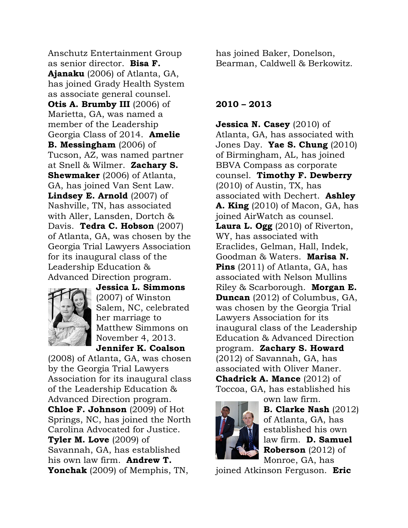Anschutz Entertainment Group as senior director. **Bisa F. Ajanaku** (2006) of Atlanta, GA, has joined Grady Health System as associate general counsel. **Otis A. Brumby III** (2006) of Marietta, GA, was named a member of the Leadership Georgia Class of 2014. **Amelie B. Messingham** (2006) of Tucson, AZ, was named partner at Snell & Wilmer. **Zachary S. Shewmaker** (2006) of Atlanta, GA, has joined Van Sent Law. **Lindsey E. Arnold** (2007) of Nashville, TN, has associated with Aller, Lansden, Dortch & Davis. **Tedra C. Hobson** (2007) of Atlanta, GA, was chosen by the Georgia Trial Lawyers Association for its inaugural class of the Leadership Education & Advanced Direction program.



**Jessica L. Simmons** (2007) of Winston Salem, NC, celebrated her marriage to Matthew Simmons on November 4, 2013. **Jennifer K. Coalson**

(2008) of Atlanta, GA, was chosen by the Georgia Trial Lawyers Association for its inaugural class of the Leadership Education & Advanced Direction program. **Chloe F. Johnson** (2009) of Hot Springs, NC, has joined the North Carolina Advocated for Justice. **Tyler M. Love** (2009) of Savannah, GA, has established his own law firm. **Andrew T. Yonchak** (2009) of Memphis, TN,

has joined Baker, Donelson, Bearman, Caldwell & Berkowitz.

#### **2010 – 2013**

**Jessica N. Casey** (2010) of Atlanta, GA, has associated with Jones Day. **Yae S. Chung** (2010) of Birmingham, AL, has joined BBVA Compass as corporate counsel. **Timothy F. Dewberry** (2010) of Austin, TX, has associated with Dechert. **Ashley A. King** (2010) of Macon, GA, has joined AirWatch as counsel. **Laura L. Ogg** (2010) of Riverton, WY, has associated with Eraclides, Gelman, Hall, Indek, Goodman & Waters. **Marisa N. Pins** (2011) of Atlanta, GA, has associated with Nelson Mullins Riley & Scarborough. **Morgan E. Duncan** (2012) of Columbus, GA, was chosen by the Georgia Trial Lawyers Association for its inaugural class of the Leadership Education & Advanced Direction program. **Zachary S. Howard**  (2012) of Savannah, GA, has associated with Oliver Maner. **Chadrick A. Mance** (2012) of Toccoa, GA, has established his



own law firm. **B. Clarke Nash** (2012) of Atlanta, GA, has established his own law firm. **D. Samuel Roberson** (2012) of Monroe, GA, has

joined Atkinson Ferguson. **Eric**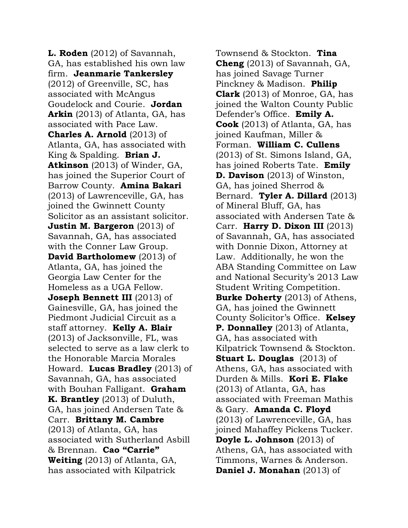**L. Roden** (2012) of Savannah, GA, has established his own law firm. **Jeanmarie Tankersley** (2012) of Greenville, SC, has associated with McAngus Goudelock and Courie. **Jordan Arkin** (2013) of Atlanta, GA, has associated with Pace Law. **Charles A. Arnold** (2013) of Atlanta, GA, has associated with King & Spalding. **Brian J. Atkinson** (2013) of Winder, GA, has joined the Superior Court of Barrow County. **Amina Bakari** (2013) of Lawrenceville, GA, has joined the Gwinnett County Solicitor as an assistant solicitor. **Justin M. Bargeron** (2013) of Savannah, GA, has associated with the Conner Law Group. **David Bartholomew** (2013) of Atlanta, GA, has joined the Georgia Law Center for the Homeless as a UGA Fellow. **Joseph Bennett III** (2013) of Gainesville, GA, has joined the Piedmont Judicial Circuit as a staff attorney. **Kelly A. Blair** (2013) of Jacksonville, FL, was selected to serve as a law clerk to the Honorable Marcia Morales Howard. **Lucas Bradley** (2013) of Savannah, GA, has associated with Bouhan Falligant. **Graham K. Brantley** (2013) of Duluth, GA, has joined Andersen Tate & Carr. **Brittany M. Cambre** (2013) of Atlanta, GA, has associated with Sutherland Asbill & Brennan. **Cao "Carrie" Weiting** (2013) of Atlanta, GA, has associated with Kilpatrick

Townsend & Stockton. **Tina Cheng** (2013) of Savannah, GA, has joined Savage Turner Pinckney & Madison. **Philip Clark** (2013) of Monroe, GA, has joined the Walton County Public Defender's Office. **Emily A. Cook** (2013) of Atlanta, GA, has joined Kaufman, Miller & Forman. **William C. Cullens** (2013) of St. Simons Island, GA, has joined Roberts Tate. **Emily D. Davison** (2013) of Winston, GA, has joined Sherrod & Bernard. **Tyler A. Dillard** (2013) of Mineral Bluff, GA, has associated with Andersen Tate & Carr. **Harry D. Dixon III** (2013) of Savannah, GA, has associated with Donnie Dixon, Attorney at Law. Additionally, he won the ABA Standing Committee on Law and National Security's 2013 Law Student Writing Competition. **Burke Doherty** (2013) of Athens, GA, has joined the Gwinnett County Solicitor's Office. **Kelsey P. Donnalley** (2013) of Atlanta, GA, has associated with Kilpatrick Townsend & Stockton. **Stuart L. Douglas** (2013) of Athens, GA, has associated with Durden & Mills. **Kori E. Flake** (2013) of Atlanta, GA, has associated with Freeman Mathis & Gary. **Amanda C. Floyd** (2013) of Lawrenceville, GA, has joined Mahaffey Pickens Tucker. **Doyle L. Johnson** (2013) of Athens, GA, has associated with Timmons, Warnes & Anderson. **Daniel J. Monahan** (2013) of